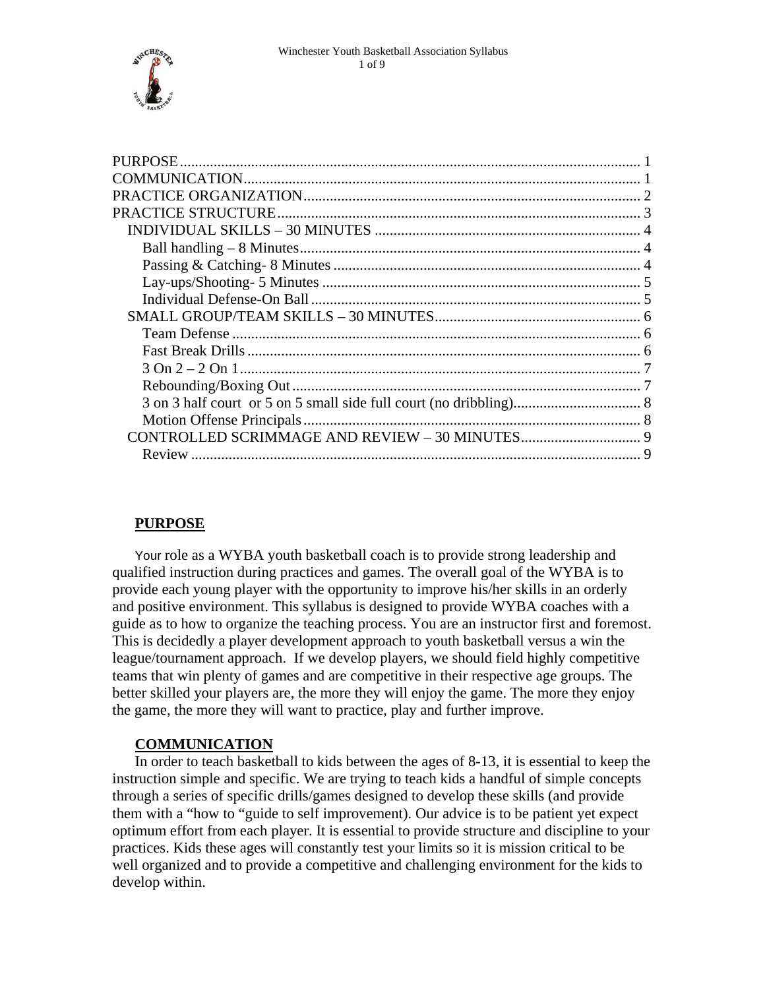<span id="page-0-0"></span>

| <b>PURPOSE</b> |  |
|----------------|--|
|                |  |
|                |  |
|                |  |
|                |  |
|                |  |
|                |  |
|                |  |
|                |  |
|                |  |
|                |  |
|                |  |
|                |  |
|                |  |
|                |  |
|                |  |
|                |  |
| Review         |  |

# **PURPOSE**

Your role as a WYBA youth basketball coach is to provide strong leadership and qualified instruction during practices and games. The overall goal of the WYBA is to provide each young player with the opportunity to improve his/her skills in an orderly and positive environment. This syllabus is designed to provide WYBA coaches with a guide as to how to organize the teaching process. You are an instructor first and foremost. This is decidedly a player development approach to youth basketball versus a win the league/tournament approach. If we develop players, we should field highly competitive teams that win plenty of games and are competitive in their respective age groups. The better skilled your players are, the more they will enjoy the game. The more they enjoy the game, the more they will want to practice, play and further improve.

# **COMMUNICATION**

In order to teach basketball to kids between the ages of 8-13, it is essential to keep the instruction simple and specific. We are trying to teach kids a handful of simple concepts through a series of specific drills/games designed to develop these skills (and provide them with a "how to "guide to self improvement). Our advice is to be patient yet expect optimum effort from each player. It is essential to provide structure and discipline to your practices. Kids these ages will constantly test your limits so it is mission critical to be well organized and to provide a competitive and challenging environment for the kids to develop within.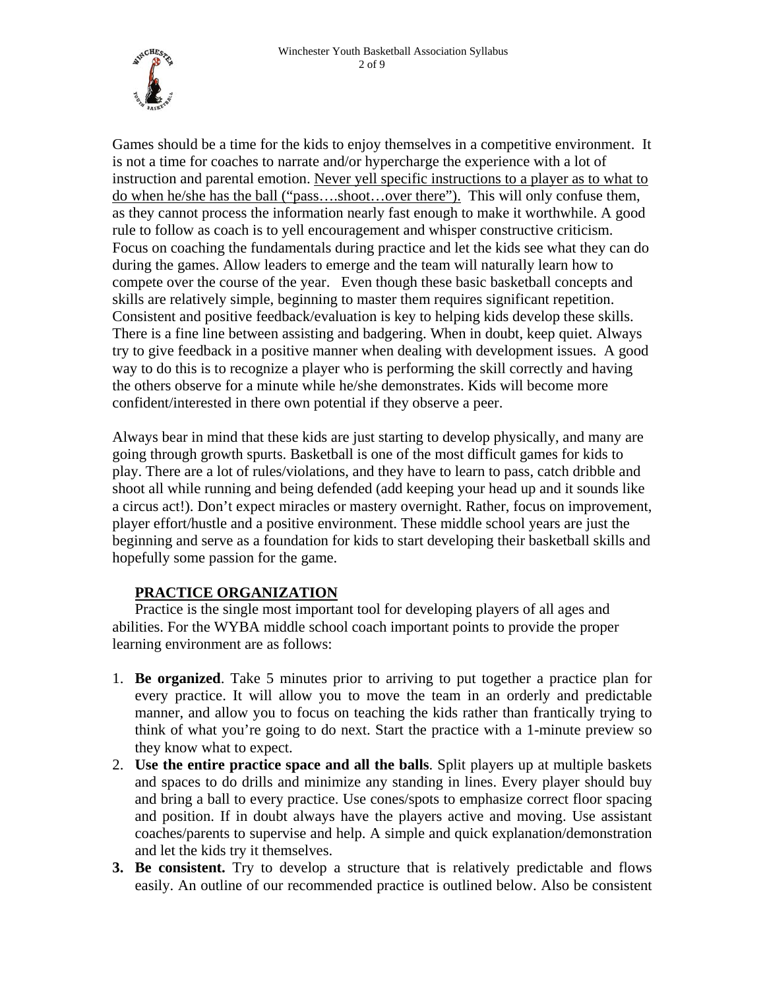<span id="page-1-0"></span>

Games should be a time for the kids to enjoy themselves in a competitive environment. It is not a time for coaches to narrate and/or hypercharge the experience with a lot of instruction and parental emotion. Never yell specific instructions to a player as to what to do when he/she has the ball ("pass….shoot…over there"). This will only confuse them, as they cannot process the information nearly fast enough to make it worthwhile. A good rule to follow as coach is to yell encouragement and whisper constructive criticism. Focus on coaching the fundamentals during practice and let the kids see what they can do during the games. Allow leaders to emerge and the team will naturally learn how to compete over the course of the year. Even though these basic basketball concepts and skills are relatively simple, beginning to master them requires significant repetition. Consistent and positive feedback/evaluation is key to helping kids develop these skills. There is a fine line between assisting and badgering. When in doubt, keep quiet. Always try to give feedback in a positive manner when dealing with development issues. A good way to do this is to recognize a player who is performing the skill correctly and having the others observe for a minute while he/she demonstrates. Kids will become more confident/interested in there own potential if they observe a peer.

Always bear in mind that these kids are just starting to develop physically, and many are going through growth spurts. Basketball is one of the most difficult games for kids to play. There are a lot of rules/violations, and they have to learn to pass, catch dribble and shoot all while running and being defended (add keeping your head up and it sounds like a circus act!). Don't expect miracles or mastery overnight. Rather, focus on improvement, player effort/hustle and a positive environment. These middle school years are just the beginning and serve as a foundation for kids to start developing their basketball skills and hopefully some passion for the game.

# **PRACTICE ORGANIZATION**

Practice is the single most important tool for developing players of all ages and abilities. For the WYBA middle school coach important points to provide the proper learning environment are as follows:

- 1. **Be organized**. Take 5 minutes prior to arriving to put together a practice plan for every practice. It will allow you to move the team in an orderly and predictable manner, and allow you to focus on teaching the kids rather than frantically trying to think of what you're going to do next. Start the practice with a 1-minute preview so they know what to expect.
- 2. **Use the entire practice space and all the balls**. Split players up at multiple baskets and spaces to do drills and minimize any standing in lines. Every player should buy and bring a ball to every practice. Use cones/spots to emphasize correct floor spacing and position. If in doubt always have the players active and moving. Use assistant coaches/parents to supervise and help. A simple and quick explanation/demonstration and let the kids try it themselves.
- **3. Be consistent.** Try to develop a structure that is relatively predictable and flows easily. An outline of our recommended practice is outlined below. Also be consistent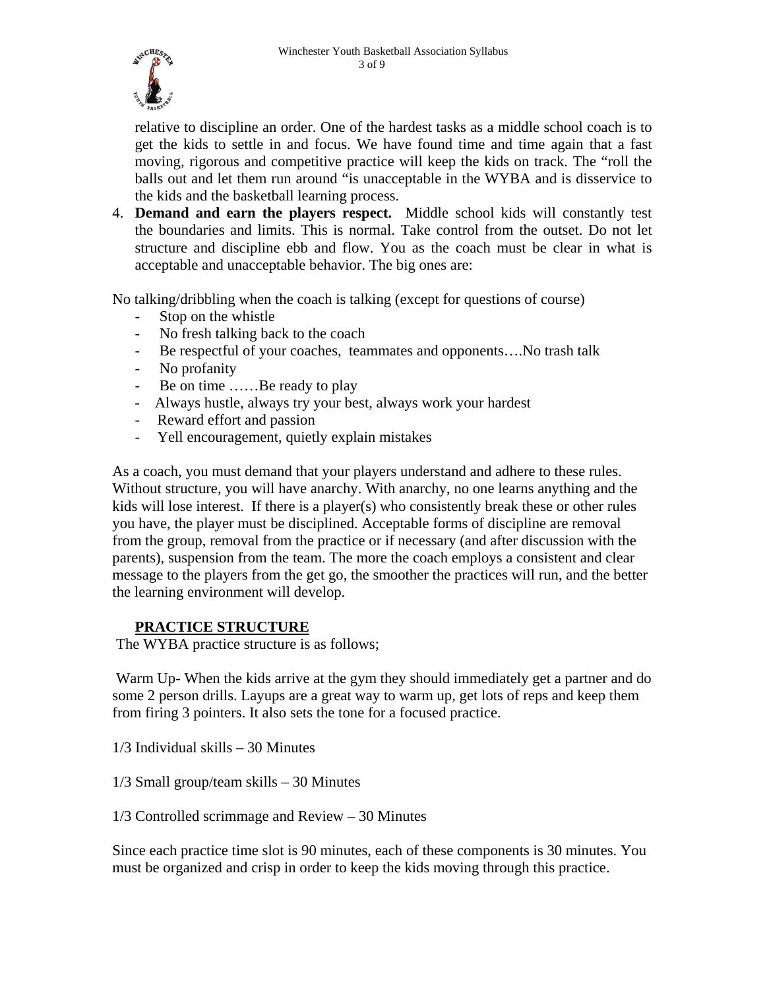<span id="page-2-0"></span>

relative to discipline an order. One of the hardest tasks as a middle school coach is to get the kids to settle in and focus. We have found time and time again that a fast moving, rigorous and competitive practice will keep the kids on track. The "roll the balls out and let them run around "is unacceptable in the WYBA and is disservice to the kids and the basketball learning process.

4. **Demand and earn the players respect.** Middle school kids will constantly test the boundaries and limits. This is normal. Take control from the outset. Do not let structure and discipline ebb and flow. You as the coach must be clear in what is acceptable and unacceptable behavior. The big ones are:

No talking/dribbling when the coach is talking (except for questions of course)

- Stop on the whistle
- No fresh talking back to the coach
- Be respectful of your coaches, teammates and opponents….No trash talk
- No profanity
- Be on time ……Be ready to play
- Always hustle, always try your best, always work your hardest
- Reward effort and passion
- Yell encouragement, quietly explain mistakes

As a coach, you must demand that your players understand and adhere to these rules. Without structure, you will have anarchy. With anarchy, no one learns anything and the kids will lose interest. If there is a player(s) who consistently break these or other rules you have, the player must be disciplined. Acceptable forms of discipline are removal from the group, removal from the practice or if necessary (and after discussion with the parents), suspension from the team. The more the coach employs a consistent and clear message to the players from the get go, the smoother the practices will run, and the better the learning environment will develop.

#### **PRACTICE STRUCTURE**

The WYBA practice structure is as follows;

 Warm Up- When the kids arrive at the gym they should immediately get a partner and do some 2 person drills. Layups are a great way to warm up, get lots of reps and keep them from firing 3 pointers. It also sets the tone for a focused practice.

1/3 Individual skills – 30 Minutes

1/3 Small group/team skills – 30 Minutes

1/3 Controlled scrimmage and Review – 30 Minutes

Since each practice time slot is 90 minutes, each of these components is 30 minutes. You must be organized and crisp in order to keep the kids moving through this practice.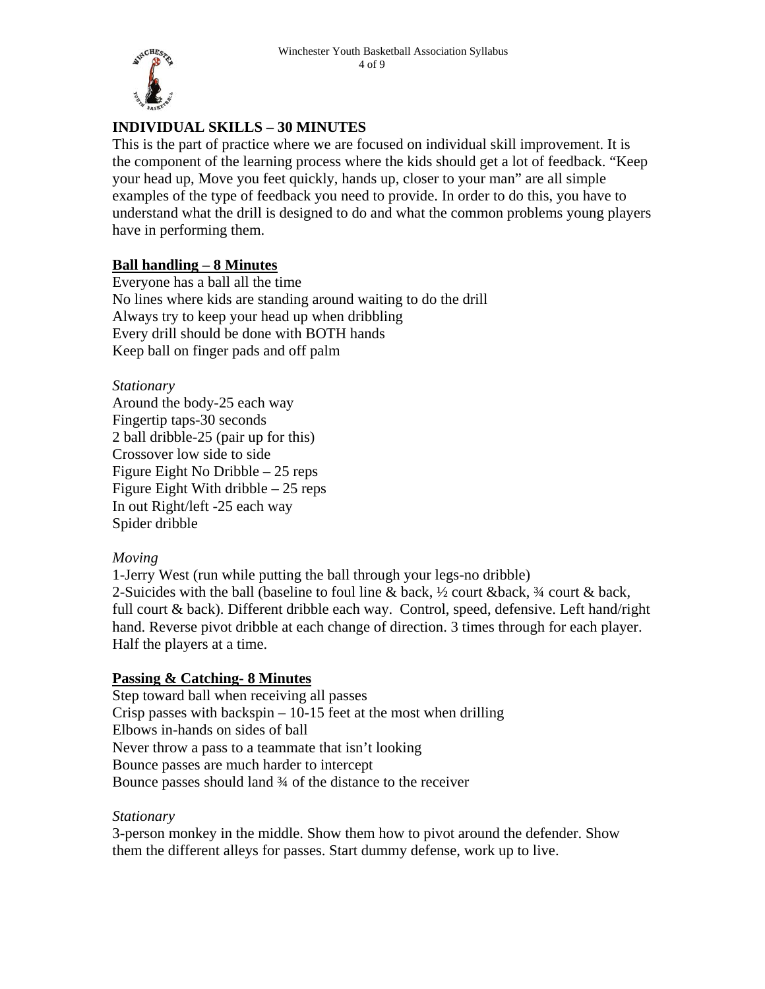<span id="page-3-0"></span>

# **INDIVIDUAL SKILLS – 30 MINUTES**

This is the part of practice where we are focused on individual skill improvement. It is the component of the learning process where the kids should get a lot of feedback. "Keep your head up, Move you feet quickly, hands up, closer to your man" are all simple examples of the type of feedback you need to provide. In order to do this, you have to understand what the drill is designed to do and what the common problems young players have in performing them.

# **Ball handling – 8 Minutes**

Everyone has a ball all the time No lines where kids are standing around waiting to do the drill Always try to keep your head up when dribbling Every drill should be done with BOTH hands Keep ball on finger pads and off palm

*Stationary*  Around the body-25 each way Fingertip taps-30 seconds 2 ball dribble-25 (pair up for this) Crossover low side to side Figure Eight No Dribble – 25 reps Figure Eight With dribble – 25 reps In out Right/left -25 each way Spider dribble

#### *Moving*

1-Jerry West (run while putting the ball through your legs-no dribble) 2-Suicides with the ball (baseline to foul line & back,  $\frac{1}{2}$  court & back,  $\frac{3}{4}$  court & back, full court & back). Different dribble each way. Control, speed, defensive. Left hand/right hand. Reverse pivot dribble at each change of direction. 3 times through for each player. Half the players at a time.

# **Passing & Catching- 8 Minutes**

Step toward ball when receiving all passes Crisp passes with backspin  $-10-15$  feet at the most when drilling Elbows in-hands on sides of ball Never throw a pass to a teammate that isn't looking Bounce passes are much harder to intercept Bounce passes should land ¾ of the distance to the receiver

#### *Stationary*

3-person monkey in the middle. Show them how to pivot around the defender. Show them the different alleys for passes. Start dummy defense, work up to live.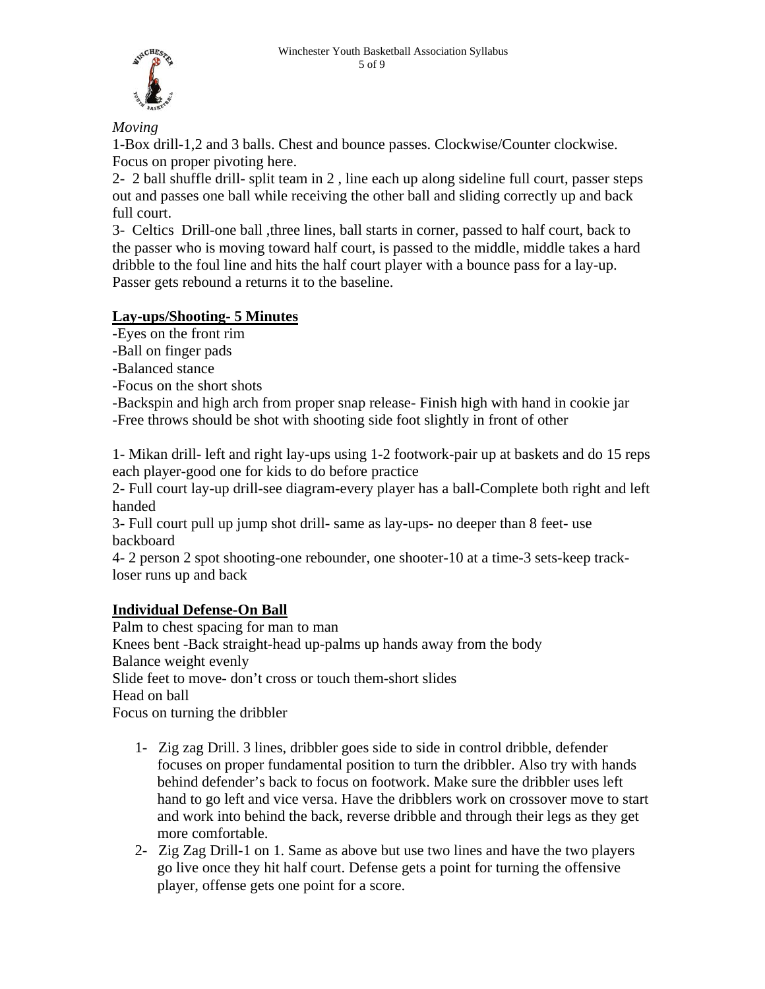<span id="page-4-0"></span>

*Moving* 

1-Box drill-1,2 and 3 balls. Chest and bounce passes. Clockwise/Counter clockwise. Focus on proper pivoting here.

2- 2 ball shuffle drill- split team in 2 , line each up along sideline full court, passer steps out and passes one ball while receiving the other ball and sliding correctly up and back full court.

3- Celtics Drill-one ball ,three lines, ball starts in corner, passed to half court, back to the passer who is moving toward half court, is passed to the middle, middle takes a hard dribble to the foul line and hits the half court player with a bounce pass for a lay-up. Passer gets rebound a returns it to the baseline.

# **Lay-ups/Shooting- 5 Minutes**

-Eyes on the front rim

- -Ball on finger pads
- -Balanced stance
- -Focus on the short shots

-Backspin and high arch from proper snap release- Finish high with hand in cookie jar -Free throws should be shot with shooting side foot slightly in front of other

1- Mikan drill- left and right lay-ups using 1-2 footwork-pair up at baskets and do 15 reps each player-good one for kids to do before practice

2- Full court lay-up drill-see diagram-every player has a ball-Complete both right and left handed

3- Full court pull up jump shot drill- same as lay-ups- no deeper than 8 feet- use backboard

4- 2 person 2 spot shooting-one rebounder, one shooter-10 at a time-3 sets-keep trackloser runs up and back

# **Individual Defense-On Ball**

Palm to chest spacing for man to man Knees bent -Back straight-head up-palms up hands away from the body Balance weight evenly Slide feet to move- don't cross or touch them-short slides Head on ball Focus on turning the dribbler

- 1- Zig zag Drill. 3 lines, dribbler goes side to side in control dribble, defender focuses on proper fundamental position to turn the dribbler. Also try with hands behind defender's back to focus on footwork. Make sure the dribbler uses left hand to go left and vice versa. Have the dribblers work on crossover move to start and work into behind the back, reverse dribble and through their legs as they get more comfortable.
- 2- Zig Zag Drill-1 on 1. Same as above but use two lines and have the two players go live once they hit half court. Defense gets a point for turning the offensive player, offense gets one point for a score.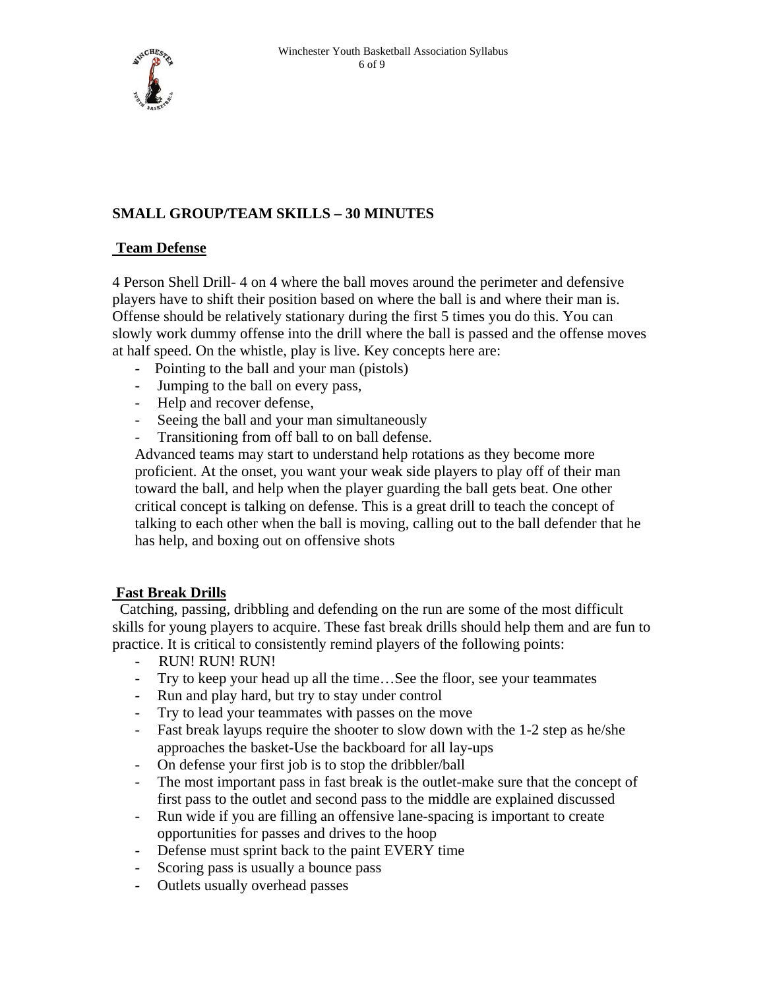<span id="page-5-0"></span>

# **SMALL GROUP/TEAM SKILLS – 30 MINUTES**

#### **Team Defense**

4 Person Shell Drill- 4 on 4 where the ball moves around the perimeter and defensive players have to shift their position based on where the ball is and where their man is. Offense should be relatively stationary during the first 5 times you do this. You can slowly work dummy offense into the drill where the ball is passed and the offense moves at half speed. On the whistle, play is live. Key concepts here are:

- Pointing to the ball and your man (pistols)
- Jumping to the ball on every pass,
- Help and recover defense,
- Seeing the ball and your man simultaneously
- Transitioning from off ball to on ball defense.

Advanced teams may start to understand help rotations as they become more proficient. At the onset, you want your weak side players to play off of their man toward the ball, and help when the player guarding the ball gets beat. One other critical concept is talking on defense. This is a great drill to teach the concept of talking to each other when the ball is moving, calling out to the ball defender that he has help, and boxing out on offensive shots

# **Fast Break Drills**

 Catching, passing, dribbling and defending on the run are some of the most difficult skills for young players to acquire. These fast break drills should help them and are fun to practice. It is critical to consistently remind players of the following points:

- RUN! RUN! RUN!
- Try to keep your head up all the time…See the floor, see your teammates
- Run and play hard, but try to stay under control
- Try to lead your teammates with passes on the move
- Fast break layups require the shooter to slow down with the 1-2 step as he/she approaches the basket-Use the backboard for all lay-ups
- On defense your first job is to stop the dribbler/ball
- The most important pass in fast break is the outlet-make sure that the concept of first pass to the outlet and second pass to the middle are explained discussed
- Run wide if you are filling an offensive lane-spacing is important to create opportunities for passes and drives to the hoop
- Defense must sprint back to the paint EVERY time
- Scoring pass is usually a bounce pass
- Outlets usually overhead passes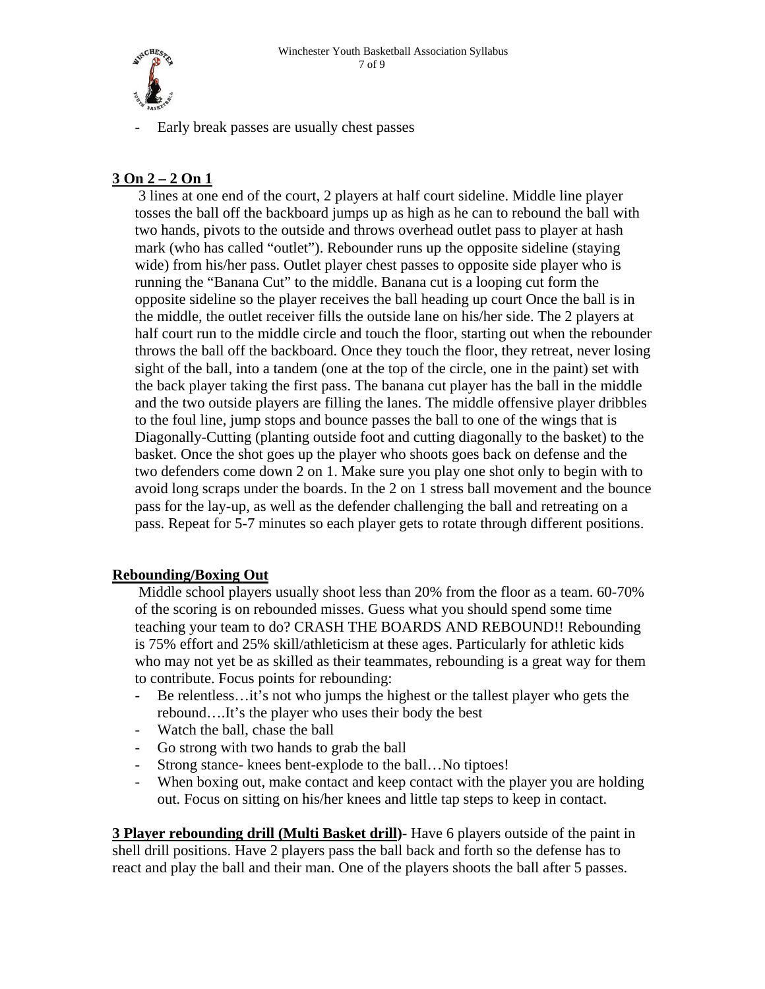<span id="page-6-0"></span>

- Early break passes are usually chest passes

# **3 On 2 – 2 On 1**

 3 lines at one end of the court, 2 players at half court sideline. Middle line player tosses the ball off the backboard jumps up as high as he can to rebound the ball with two hands, pivots to the outside and throws overhead outlet pass to player at hash mark (who has called "outlet"). Rebounder runs up the opposite sideline (staying wide) from his/her pass. Outlet player chest passes to opposite side player who is running the "Banana Cut" to the middle. Banana cut is a looping cut form the opposite sideline so the player receives the ball heading up court Once the ball is in the middle, the outlet receiver fills the outside lane on his/her side. The 2 players at half court run to the middle circle and touch the floor, starting out when the rebounder throws the ball off the backboard. Once they touch the floor, they retreat, never losing sight of the ball, into a tandem (one at the top of the circle, one in the paint) set with the back player taking the first pass. The banana cut player has the ball in the middle and the two outside players are filling the lanes. The middle offensive player dribbles to the foul line, jump stops and bounce passes the ball to one of the wings that is Diagonally-Cutting (planting outside foot and cutting diagonally to the basket) to the basket. Once the shot goes up the player who shoots goes back on defense and the two defenders come down 2 on 1. Make sure you play one shot only to begin with to avoid long scraps under the boards. In the 2 on 1 stress ball movement and the bounce pass for the lay-up, as well as the defender challenging the ball and retreating on a pass. Repeat for 5-7 minutes so each player gets to rotate through different positions.

# **Rebounding/Boxing Out**

 Middle school players usually shoot less than 20% from the floor as a team. 60-70% of the scoring is on rebounded misses. Guess what you should spend some time teaching your team to do? CRASH THE BOARDS AND REBOUND!! Rebounding is 75% effort and 25% skill/athleticism at these ages. Particularly for athletic kids who may not yet be as skilled as their teammates, rebounding is a great way for them to contribute. Focus points for rebounding:

- Be relentless…it's not who jumps the highest or the tallest player who gets the rebound….It's the player who uses their body the best
- Watch the ball, chase the ball
- Go strong with two hands to grab the ball
- Strong stance- knees bent-explode to the ball…No tiptoes!
- When boxing out, make contact and keep contact with the player you are holding out. Focus on sitting on his/her knees and little tap steps to keep in contact.

**3 Player rebounding drill (Multi Basket drill)**- Have 6 players outside of the paint in shell drill positions. Have 2 players pass the ball back and forth so the defense has to react and play the ball and their man. One of the players shoots the ball after 5 passes.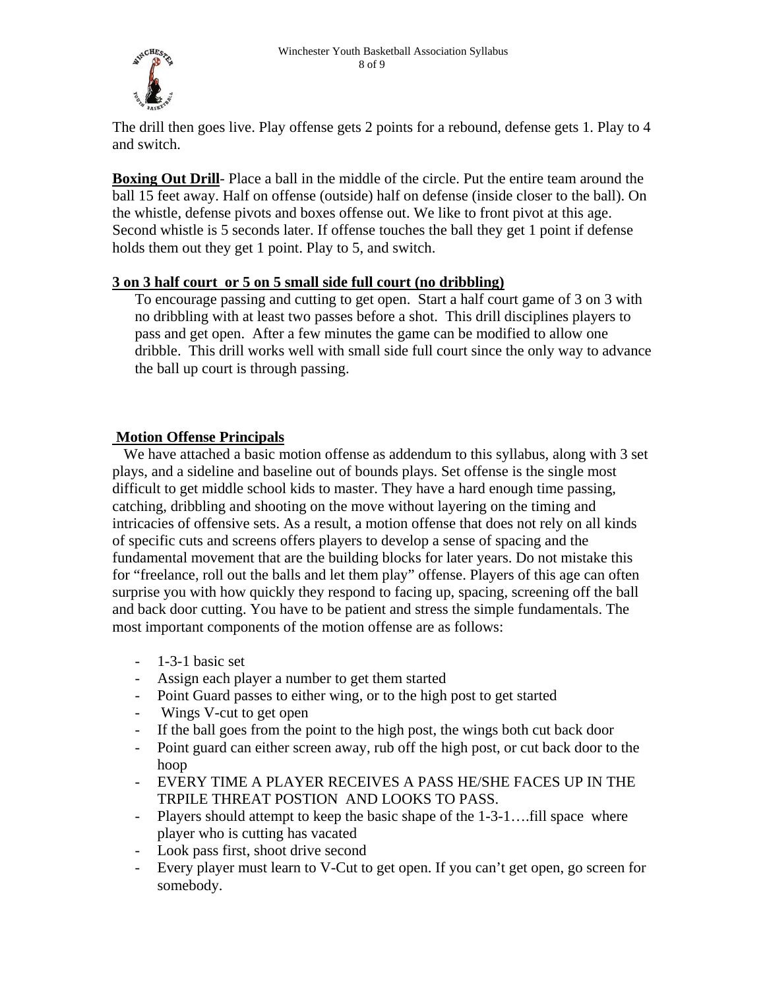<span id="page-7-0"></span>

The drill then goes live. Play offense gets 2 points for a rebound, defense gets 1. Play to 4 and switch.

**Boxing Out Drill**- Place a ball in the middle of the circle. Put the entire team around the ball 15 feet away. Half on offense (outside) half on defense (inside closer to the ball). On the whistle, defense pivots and boxes offense out. We like to front pivot at this age. Second whistle is 5 seconds later. If offense touches the ball they get 1 point if defense holds them out they get 1 point. Play to 5, and switch.

# **3 on 3 half court or 5 on 5 small side full court (no dribbling)**

To encourage passing and cutting to get open. Start a half court game of 3 on 3 with no dribbling with at least two passes before a shot. This drill disciplines players to pass and get open. After a few minutes the game can be modified to allow one dribble. This drill works well with small side full court since the only way to advance the ball up court is through passing.

# **Motion Offense Principals**

 We have attached a basic motion offense as addendum to this syllabus, along with 3 set plays, and a sideline and baseline out of bounds plays. Set offense is the single most difficult to get middle school kids to master. They have a hard enough time passing, catching, dribbling and shooting on the move without layering on the timing and intricacies of offensive sets. As a result, a motion offense that does not rely on all kinds of specific cuts and screens offers players to develop a sense of spacing and the fundamental movement that are the building blocks for later years. Do not mistake this for "freelance, roll out the balls and let them play" offense. Players of this age can often surprise you with how quickly they respond to facing up, spacing, screening off the ball and back door cutting. You have to be patient and stress the simple fundamentals. The most important components of the motion offense are as follows:

- $-$  1-3-1 basic set
- Assign each player a number to get them started
- Point Guard passes to either wing, or to the high post to get started
- Wings V-cut to get open
- If the ball goes from the point to the high post, the wings both cut back door
- Point guard can either screen away, rub off the high post, or cut back door to the hoop
- EVERY TIME A PLAYER RECEIVES A PASS HE/SHE FACES UP IN THE TRPILE THREAT POSTION AND LOOKS TO PASS.
- Players should attempt to keep the basic shape of the 1-3-1….fill space where player who is cutting has vacated
- Look pass first, shoot drive second
- Every player must learn to V-Cut to get open. If you can't get open, go screen for somebody.